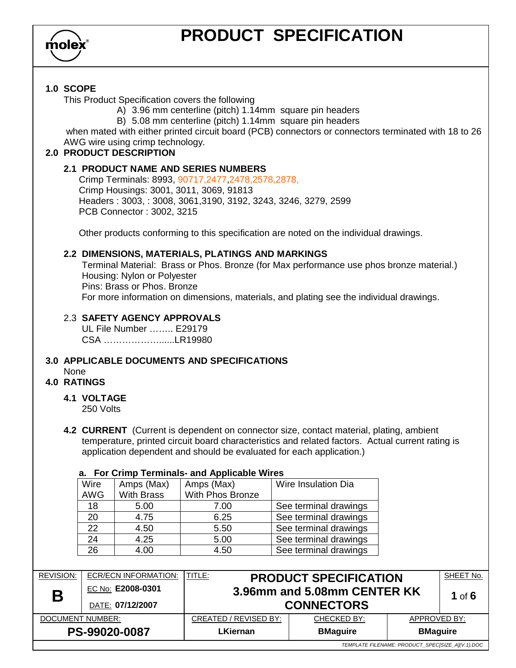

## **PRODUCT SPECIFICATION**

#### **1.0 SCOPE**

This Product Specification covers the following

- A) 3.96 mm centerline (pitch) 1.14mm square pin headers
- B) 5.08 mm centerline (pitch) 1.14mm square pin headers

 when mated with either printed circuit board (PCB) connectors or connectors terminated with 18 to 26 AWG wire using crimp technology.

#### **2.0 PRODUCT DESCRIPTION**

#### **2.1 PRODUCT NAME AND SERIES NUMBERS**

Crimp Terminals: 8993, 90717,2477,2478,2578,2878, Crimp Housings: 3001, 3011, 3069, 91813 Headers : 3003, : 3008, 3061,3190, 3192, 3243, 3246, 3279, 2599 PCB Connector : 3002, 3215

Other products conforming to this specification are noted on the individual drawings.

#### **2.2 DIMENSIONS, MATERIALS, PLATINGS AND MARKINGS**

Terminal Material: Brass or Phos. Bronze (for Max performance use phos bronze material.) Housing: Nylon or Polyester Pins: Brass or Phos. Bronze For more information on dimensions, materials, and plating see the individual drawings.

#### 2.3 **SAFETY AGENCY APPROVALS**

UL File Number …….. E29179 CSA ………………......LR19980

#### **3.0 APPLICABLE DOCUMENTS AND SPECIFICATIONS**

None

#### **4.0 RATINGS**

#### **4.1 VOLTAGE**

250 Volts

**4.2 CURRENT** (Current is dependent on connector size, contact material, plating, ambient temperature, printed circuit board characteristics and related factors. Actual current rating is application dependent and should be evaluated for each application.)

#### **a. For Crimp Terminals- and Applicable Wires**

| Wire       | Amps (Max)        | Amps (Max)       | Wire Insulation Dia   |
|------------|-------------------|------------------|-----------------------|
| <b>AWG</b> | <b>With Brass</b> | With Phos Bronze |                       |
| 18         | 5.00              | 7.00             | See terminal drawings |
| 20         | 4.75              | 6.25             | See terminal drawings |
| 22         | 4.50              | 5.50             | See terminal drawings |
| 24         | 4.25              | 5.00             | See terminal drawings |
| 26         | 4.00              | 4.50             | See terminal drawings |

| <b>REVISION:</b><br>Β                            | ECR/ECN INFORMATION:<br>EC No: E2008-0301<br>DATE: 07/12/2007 | <b>TITLE:</b>         | <b>PRODUCT SPECIFICATION</b><br>3.96mm and 5.08mm CENTER KK<br><b>CONNECTORS</b> |                 | SHEET No.<br>1 of $6$ |
|--------------------------------------------------|---------------------------------------------------------------|-----------------------|----------------------------------------------------------------------------------|-----------------|-----------------------|
| DOCUMENT NUMBER:                                 |                                                               | CREATED / REVISED BY: | CHECKED BY:                                                                      | APPROVED BY:    |                       |
| PS-99020-0087                                    |                                                               | LKiernan              | <b>BMaguire</b>                                                                  | <b>BMaguire</b> |                       |
| TEMPLATE FILENAME: PRODUCT SPECISIZE AI(V.1).DOC |                                                               |                       |                                                                                  |                 |                       |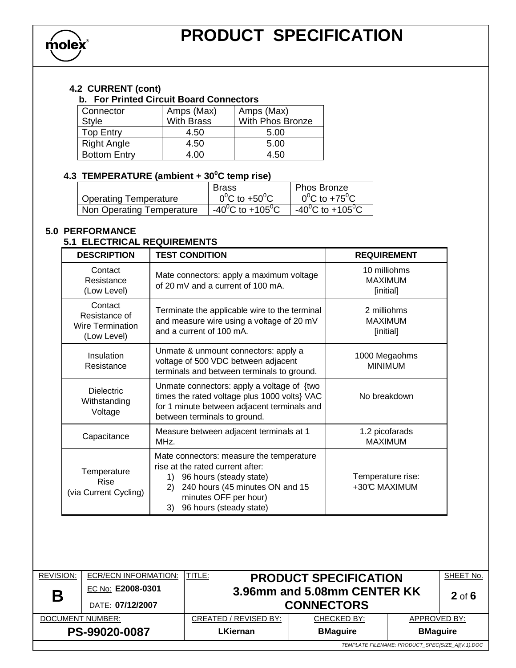

#### **4.2 CURRENT (cont)**

#### **b. For Printed Circuit Board Connectors**

| Connector           | Amps (Max)        | Amps (Max)       |
|---------------------|-------------------|------------------|
| <b>Style</b>        | <b>With Brass</b> | With Phos Bronze |
| Top Entry           | 4.50              | 5.00             |
| <b>Right Angle</b>  | 4.50              | 5.00             |
| <b>Bottom Entry</b> | 4.00              | 4.50             |

#### **4.3 TEMPERATURE (ambient + 30<sup>0</sup>C temp rise)**

|                              | <b>Brass</b>                        | ∣ Phos Bronze                       |
|------------------------------|-------------------------------------|-------------------------------------|
| <b>Operating Temperature</b> | $0^0C$ to +50 <sup>o</sup> C        | $0^0C$ to +75 <sup>0</sup> C        |
| Non Operating Temperature    | $-40^{\circ}$ C to $+105^{\circ}$ C | $-40^{\circ}$ C to $+105^{\circ}$ C |

## **5.0 PERFORMANCE**

#### **5.1 ELECTRICAL REQUIREMENTS**

| <b>DESCRIPTION</b>                                          | <b>TEST CONDITION</b>                                                                                                                                                                                            | <b>REQUIREMENT</b>                          |
|-------------------------------------------------------------|------------------------------------------------------------------------------------------------------------------------------------------------------------------------------------------------------------------|---------------------------------------------|
| Contact<br>Resistance<br>(Low Level)                        | Mate connectors: apply a maximum voltage<br>of 20 mV and a current of 100 mA.                                                                                                                                    | 10 milliohms<br><b>MAXIMUM</b><br>[initial] |
| Contact<br>Resistance of<br>Wire Termination<br>(Low Level) | Terminate the applicable wire to the terminal<br>and measure wire using a voltage of 20 mV<br>and a current of 100 mA.                                                                                           | 2 milliohms<br><b>MAXIMUM</b><br>[initial]  |
| <b>Insulation</b><br>Resistance                             | Unmate & unmount connectors: apply a<br>voltage of 500 VDC between adjacent<br>terminals and between terminals to ground.                                                                                        | 1000 Megaohms<br><b>MINIMUM</b>             |
| <b>Dielectric</b><br>Withstanding<br>Voltage                | Unmate connectors: apply a voltage of {two<br>times the rated voltage plus 1000 volts} VAC<br>for 1 minute between adjacent terminals and<br>between terminals to ground.                                        | No breakdown                                |
| Capacitance                                                 | Measure between adjacent terminals at 1<br>MHz.                                                                                                                                                                  | 1.2 picofarads<br><b>MAXIMUM</b>            |
| Temperature<br><b>Rise</b><br>(via Current Cycling)         | Mate connectors: measure the temperature<br>rise at the rated current after:<br>96 hours (steady state)<br>1)<br>240 hours (45 minutes ON and 15<br>2)<br>minutes OFF per hour)<br>96 hours (steady state)<br>3) | Temperature rise:<br>+30°C MAXIMUM          |

| <b>REVISION:</b>                                 | <b>ECR/ECN INFORMATION:</b> | TITLE:<br><b>PRODUCT SPECIFICATION</b> | SHEET No.          |                 |  |  |
|--------------------------------------------------|-----------------------------|----------------------------------------|--------------------|-----------------|--|--|
| Β                                                | EC No: E2008-0301           | 3.96mm and 5.08mm CENTER KK            | $2$ of $6$         |                 |  |  |
|                                                  | DATE: 07/12/2007            | <b>CONNECTORS</b>                      |                    |                 |  |  |
| DOCUMENT NUMBER:                                 |                             | CREATED / REVISED BY:                  | <b>CHECKED BY:</b> | APPROVED BY:    |  |  |
| PS-99020-0087                                    |                             | LKiernan                               | <b>BMaguire</b>    | <b>BMaguire</b> |  |  |
| TEMPLATE FILENAME: PRODUCT SPECISIZE AI(V.1).DOC |                             |                                        |                    |                 |  |  |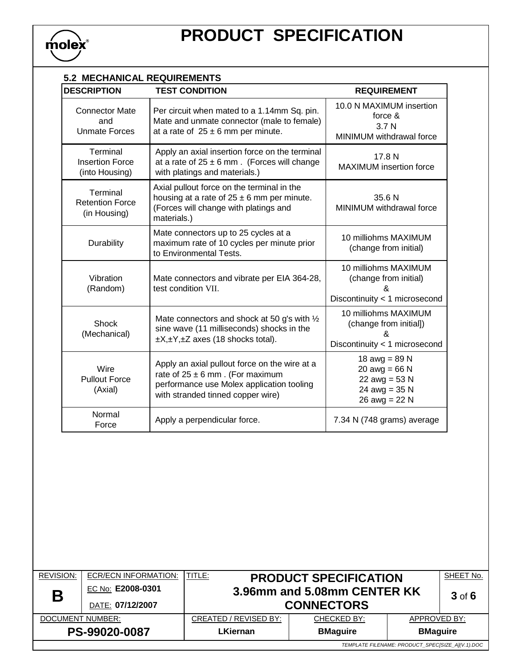

| <b>5.2 MECHANICAL REQUIREMENTS</b>                   |                                                                                                                                                                        |                                                                                             |  |  |
|------------------------------------------------------|------------------------------------------------------------------------------------------------------------------------------------------------------------------------|---------------------------------------------------------------------------------------------|--|--|
| <b>DESCRIPTION</b>                                   | <b>TEST CONDITION</b>                                                                                                                                                  | <b>REQUIREMENT</b>                                                                          |  |  |
| <b>Connector Mate</b><br>and<br><b>Unmate Forces</b> | Per circuit when mated to a 1.14mm Sq. pin.<br>Mate and unmate connector (male to female)<br>at a rate of $25 \pm 6$ mm per minute.                                    | 10.0 N MAXIMUM insertion<br>force &<br>3.7 <sub>N</sub><br>MINIMUM withdrawal force         |  |  |
| Terminal<br><b>Insertion Force</b><br>(into Housing) | Apply an axial insertion force on the terminal<br>at a rate of $25 \pm 6$ mm. (Forces will change<br>with platings and materials.)                                     | 17.8 N<br><b>MAXIMUM</b> insertion force                                                    |  |  |
| Terminal<br><b>Retention Force</b><br>(in Housing)   | Axial pullout force on the terminal in the<br>housing at a rate of $25 \pm 6$ mm per minute.<br>(Forces will change with platings and<br>materials.)                   | 35.6 N<br>MINIMUM withdrawal force                                                          |  |  |
| Durability                                           | Mate connectors up to 25 cycles at a<br>maximum rate of 10 cycles per minute prior<br>to Environmental Tests.                                                          | 10 milliohms MAXIMUM<br>(change from initial)                                               |  |  |
| Vibration<br>(Random)                                | Mate connectors and vibrate per EIA 364-28,<br>test condition VII.                                                                                                     | 10 milliohms MAXIMUM<br>(change from initial)<br>Discontinuity < 1 microsecond              |  |  |
| Shock<br>(Mechanical)                                | Mate connectors and shock at 50 g's with 1/2<br>sine wave (11 milliseconds) shocks in the<br>$\pm X, \pm Y, \pm Z$ axes (18 shocks total).                             | 10 milliohms MAXIMUM<br>(change from initial])<br>ጼ<br>Discontinuity < 1 microsecond        |  |  |
| Wire<br><b>Pullout Force</b><br>(Axial)              | Apply an axial pullout force on the wire at a<br>rate of $25 \pm 6$ mm. (For maximum<br>performance use Molex application tooling<br>with stranded tinned copper wire) | 18 $awg = 89 N$<br>20 $awg = 66 N$<br>22 $awg = 53 N$<br>24 $awg = 35 N$<br>26 $awg = 22 N$ |  |  |
| Normal<br>Force                                      | Apply a perpendicular force.                                                                                                                                           | 7.34 N (748 grams) average                                                                  |  |  |

| <b>REVISION:</b>                                 | ECR/ECN INFORMATION: | TITLE:<br><b>PRODUCT SPECIFICATION</b> |                 |                 | SHEET No.  |  |
|--------------------------------------------------|----------------------|----------------------------------------|-----------------|-----------------|------------|--|
| Β                                                | EC No: E2008-0301    | 3.96mm and 5.08mm CENTER KK            |                 |                 | $3$ of $6$ |  |
|                                                  | DATE: 07/12/2007     | <b>CONNECTORS</b>                      |                 |                 |            |  |
| DOCUMENT NUMBER:                                 |                      | CREATED / REVISED BY:                  | CHECKED BY:     | APPROVED BY:    |            |  |
| PS-99020-0087                                    |                      | <b>LKiernan</b>                        | <b>BMaguire</b> | <b>BMaguire</b> |            |  |
| TEMPLATE FILENAME: PRODUCT SPECISIZE AI(V.1).DOC |                      |                                        |                 |                 |            |  |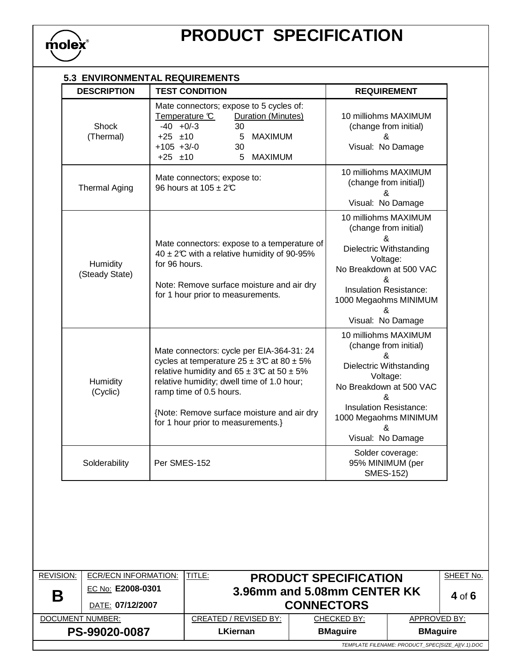

# **PRODUCT SPECIFICATION**

| <b>DESCRIPTION</b>         | <b>TEST CONDITION</b>                                                                                                                                                                                                                                                                                           | <b>REQUIREMENT</b>                                                                                                                                                                                     |
|----------------------------|-----------------------------------------------------------------------------------------------------------------------------------------------------------------------------------------------------------------------------------------------------------------------------------------------------------------|--------------------------------------------------------------------------------------------------------------------------------------------------------------------------------------------------------|
| Shock<br>(Thermal)         | Mate connectors; expose to 5 cycles of:<br><b>Duration (Minutes)</b><br>Temperature C<br>$-40 + 0/-3$<br>30<br>$+25$ $\pm 10$<br>5 MAXIMUM<br>$+105 + 3/-0$<br>30<br>$+25$ $\pm 10$<br>5 MAXIMUM                                                                                                                | 10 milliohms MAXIMUM<br>(change from initial)<br>&<br>Visual: No Damage                                                                                                                                |
| <b>Thermal Aging</b>       | Mate connectors; expose to:<br>96 hours at 105 ± 2°C                                                                                                                                                                                                                                                            | 10 milliohms MAXIMUM<br>(change from initial])<br>&<br>Visual: No Damage                                                                                                                               |
| Humidity<br>(Steady State) | Mate connectors: expose to a temperature of<br>40 ± 2°C with a relative humidity of 90-95%<br>for 96 hours.<br>Note: Remove surface moisture and air dry<br>for 1 hour prior to measurements.                                                                                                                   | 10 milliohms MAXIMUM<br>(change from initial)<br>&<br>Dielectric Withstanding<br>Voltage:<br>No Breakdown at 500 VAC<br>&<br>Insulation Resistance:<br>1000 Megaohms MINIMUM<br>&<br>Visual: No Damage |
| Humidity<br>(Cyclic)       | Mate connectors: cycle per EIA-364-31: 24<br>cycles at temperature $25 \pm 3$ °C at 80 ± 5%<br>relative humidity and $65 \pm 3$ °C at $50 \pm 5$ %<br>relative humidity; dwell time of 1.0 hour;<br>ramp time of 0.5 hours.<br>{Note: Remove surface moisture and air dry<br>for 1 hour prior to measurements.} | 10 milliohms MAXIMUM<br>(change from initial)<br>&<br>Dielectric Withstanding<br>Voltage:<br>No Breakdown at 500 VAC<br>ጼ<br><b>Insulation Resistance:</b><br>1000 Megaohms MINIMUM<br>&               |
| Solderability              | Per SMES-152                                                                                                                                                                                                                                                                                                    | Visual: No Damage<br>Solder coverage:<br>95% MINIMUM (per<br><b>SMES-152)</b>                                                                                                                          |

| <b>REVISION:</b>                                 | <b>ECR/ECN INFORMATION:</b> | TITLE:                                                      | <b>PRODUCT SPECIFICATION</b> |                 | SHEET No. |
|--------------------------------------------------|-----------------------------|-------------------------------------------------------------|------------------------------|-----------------|-----------|
| Β                                                | EC No: E2008-0301           | 3.96mm and 5.08mm CENTER KK                                 |                              | 4 of $6$        |           |
|                                                  | DATE: 07/12/2007            | <b>CONNECTORS</b>                                           |                              |                 |           |
| <b>DOCUMENT NUMBER:</b>                          |                             | CREATED / REVISED BY:<br><b>CHECKED BY:</b><br>APPROVED BY: |                              |                 |           |
| PS-99020-0087                                    |                             | <b>LKiernan</b>                                             | <b>BMaguire</b>              | <b>BMaguire</b> |           |
| TEMPLATE FILENAME: PRODUCT SPECISIZE AI(V.1).DOC |                             |                                                             |                              |                 |           |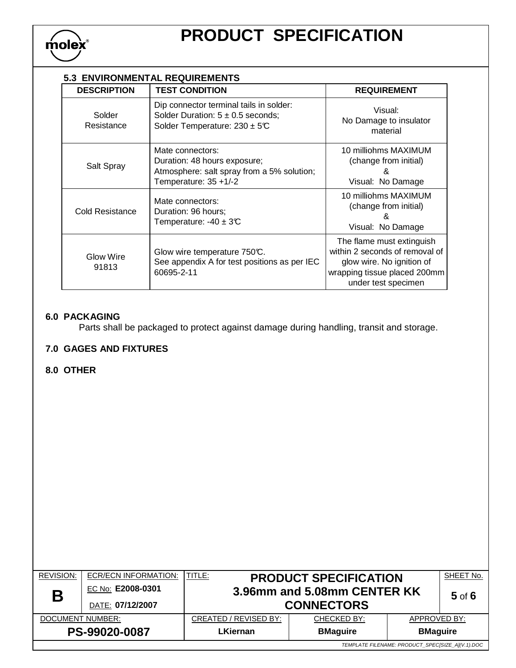

#### **5.3 ENVIRONMENTAL REQUIREMENTS**

| <b>DESCRIPTION</b>        | <b>TEST CONDITION</b>                                                                                                   | <b>REQUIREMENT</b>                                                                                                                              |
|---------------------------|-------------------------------------------------------------------------------------------------------------------------|-------------------------------------------------------------------------------------------------------------------------------------------------|
| Solder<br>Resistance      | Dip connector terminal tails in solder:<br>Solder Duration: $5 \pm 0.5$ seconds;<br>Solder Temperature: $230 \pm 5$ °C  | Visual:<br>No Damage to insulator<br>material                                                                                                   |
| Salt Spray                | Mate connectors:<br>Duration: 48 hours exposure;<br>Atmosphere: salt spray from a 5% solution;<br>Temperature: 35 +1/-2 | 10 milliohms MAXIMUM<br>(change from initial)<br>&<br>Visual: No Damage                                                                         |
| <b>Cold Resistance</b>    | Mate connectors:<br>Duration: 96 hours;<br>Temperature: $-40 \pm 3$ °C                                                  | 10 milliohms MAXIMUM<br>(change from initial)<br>&<br>Visual: No Damage                                                                         |
| <b>Glow Wire</b><br>91813 | Glow wire temperature 750°C.<br>See appendix A for test positions as per IEC<br>60695-2-11                              | The flame must extinguish<br>within 2 seconds of removal of<br>glow wire. No ignition of<br>wrapping tissue placed 200mm<br>under test specimen |

## **6.0 PACKAGING**

Parts shall be packaged to protect against damage during handling, transit and storage.

#### **7.0 GAGES AND FIXTURES**

#### **8.0 OTHER**

| <b>REVISION:</b>                                 | ECR/ECN INFORMATION: | TITLE:<br><b>PRODUCT SPECIFICATION</b>                      |  |  | SHEET No.  |  |
|--------------------------------------------------|----------------------|-------------------------------------------------------------|--|--|------------|--|
| Β                                                | EC No: E2008-0301    | 3.96mm and 5.08mm CENTER KK                                 |  |  | $5$ of $6$ |  |
|                                                  | DATE: 07/12/2007     | <b>CONNECTORS</b>                                           |  |  |            |  |
| DOCUMENT NUMBER:                                 |                      | CREATED / REVISED BY:<br>APPROVED BY:<br><b>CHECKED BY:</b> |  |  |            |  |
| PS-99020-0087                                    |                      | <b>LKiernan</b><br><b>BMaguire</b><br><b>BMaguire</b>       |  |  |            |  |
| TEMPLATE FILENAME: PRODUCT SPECISIZE AI(V.1).DOC |                      |                                                             |  |  |            |  |